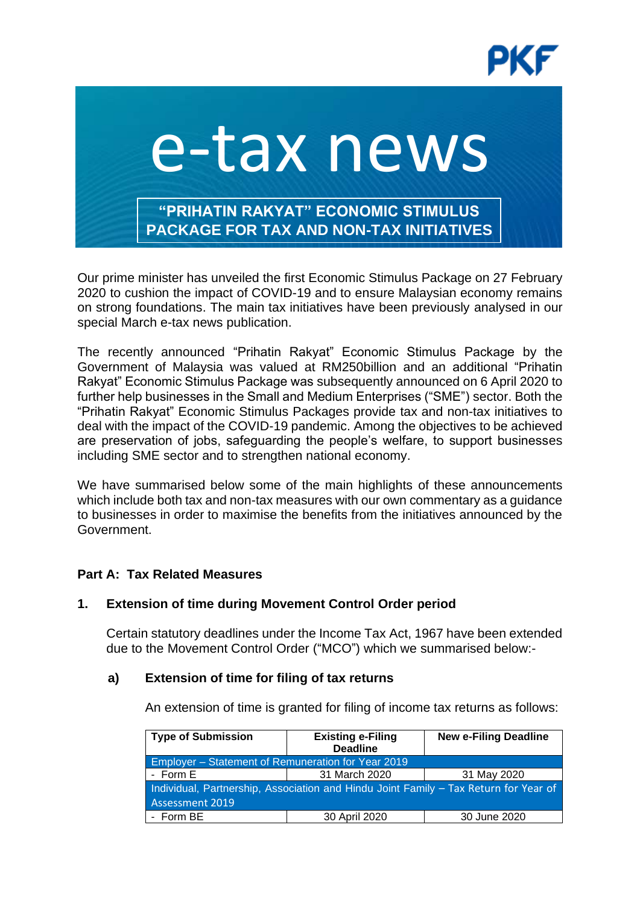

# e-tax news **"PRIHATIN RAKYAT" ECONOMIC STIMULUS PACKAGE FOR TAX AND NON-TAX INITIATIVES**

Our prime minister has unveiled the first Economic Stimulus Package on 27 February 2020 to cushion the impact of COVID-19 and to ensure Malaysian economy remains on strong foundations. The main tax initiatives have been previously analysed in our special March e-tax news publication.

The recently announced "Prihatin Rakyat" Economic Stimulus Package by the Government of Malaysia was valued at RM250billion and an additional "Prihatin Rakyat" Economic Stimulus Package was subsequently announced on 6 April 2020 to further help businesses in the Small and Medium Enterprises ("SME") sector. Both the "Prihatin Rakyat" Economic Stimulus Packages provide tax and non-tax initiatives to deal with the impact of the COVID-19 pandemic. Among the objectives to be achieved are preservation of jobs, safeguarding the people's welfare, to support businesses including SME sector and to strengthen national economy.

We have summarised below some of the main highlights of these announcements which include both tax and non-tax measures with our own commentary as a guidance to businesses in order to maximise the benefits from the initiatives announced by the Government.

# **Part A: Tax Related Measures**

## **1. Extension of time during Movement Control Order period**

Certain statutory deadlines under the Income Tax Act, 1967 have been extended due to the Movement Control Order ("MCO") which we summarised below:-

#### **a) Extension of time for filing of tax returns**

An extension of time is granted for filing of income tax returns as follows:

| <b>Type of Submission</b>                                                                                      | <b>Existing e-Filing</b>     | <b>New e-Filing Deadline</b> |
|----------------------------------------------------------------------------------------------------------------|------------------------------|------------------------------|
|                                                                                                                | <b>Deadline</b>              |                              |
| Employer - Statement of Remuneration for Year 2019                                                             |                              |                              |
| - Form E                                                                                                       | 31 March 2020<br>31 May 2020 |                              |
| Individual, Partnership, Association and Hindu Joint Family - Tax Return for Year of<br><b>Assessment 2019</b> |                              |                              |
| - Form BE                                                                                                      | 30 April 2020                | 30 June 2020                 |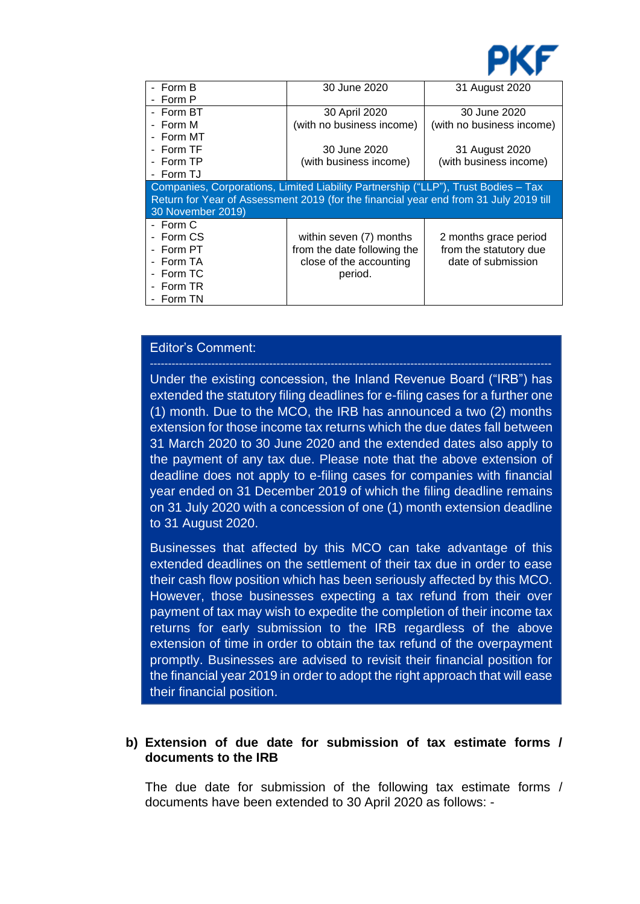

| - Form B                                                                              | 30 June 2020                | 31 August 2020            |  |
|---------------------------------------------------------------------------------------|-----------------------------|---------------------------|--|
| Form P                                                                                |                             |                           |  |
| - Form BT                                                                             | 30 April 2020               | 30 June 2020              |  |
| - Form M                                                                              | (with no business income)   | (with no business income) |  |
| - Form MT                                                                             |                             |                           |  |
| - Form TF                                                                             | 30 June 2020                | 31 August 2020            |  |
| - Form TP                                                                             | (with business income)      | (with business income)    |  |
| - Form TJ                                                                             |                             |                           |  |
| Companies, Corporations, Limited Liability Partnership ("LLP"), Trust Bodies - Tax    |                             |                           |  |
| Return for Year of Assessment 2019 (for the financial year end from 31 July 2019 till |                             |                           |  |
| 30 November 2019)                                                                     |                             |                           |  |
| - Form C                                                                              |                             |                           |  |
| - Form CS                                                                             | within seven (7) months     | 2 months grace period     |  |
| - Form PT                                                                             | from the date following the | from the statutory due    |  |
| - Form TA                                                                             | close of the accounting     | date of submission        |  |
| - Form TC                                                                             | period.                     |                           |  |
| - Form TR                                                                             |                             |                           |  |
| Form TN                                                                               |                             |                           |  |

## Editor's Comment:

Under the existing concession, the Inland Revenue Board ("IRB") has extended the statutory filing deadlines for e-filing cases for a further one (1) month. Due to the MCO, the IRB has announced a two (2) months extension for those income tax returns which the due dates fall between 31 March 2020 to 30 June 2020 and the extended dates also apply to the payment of any tax due. Please note that the above extension of deadline does not apply to e-filing cases for companies with financial year ended on 31 December 2019 of which the filing deadline remains on 31 July 2020 with a concession of one (1) month extension deadline to 31 August 2020.

Businesses that affected by this MCO can take advantage of this extended deadlines on the settlement of their tax due in order to ease their cash flow position which has been seriously affected by this MCO. However, those businesses expecting a tax refund from their over payment of tax may wish to expedite the completion of their income tax returns for early submission to the IRB regardless of the above extension of time in order to obtain the tax refund of the overpayment promptly. Businesses are advised to revisit their financial position for the financial year 2019 in order to adopt the right approach that will ease their financial position.

## **b) Extension of due date for submission of tax estimate forms / documents to the IRB**

The due date for submission of the following tax estimate forms / documents have been extended to 30 April 2020 as follows: -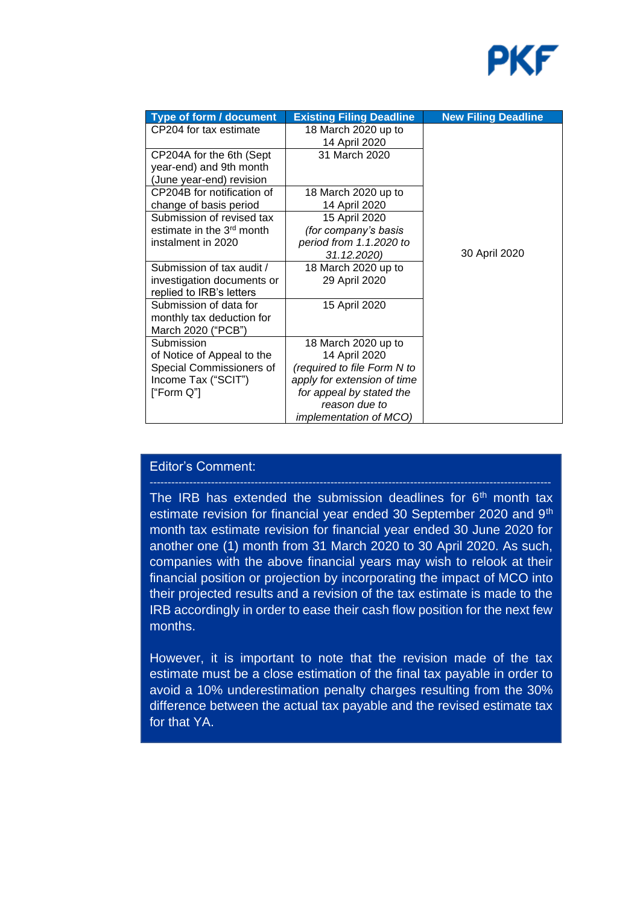

| Type of form / document                             | <b>Existing Filing Deadline</b>      | <b>New Filing Deadline</b> |
|-----------------------------------------------------|--------------------------------------|----------------------------|
| CP204 for tax estimate                              | 18 March 2020 up to<br>14 April 2020 |                            |
| CP204A for the 6th (Sept                            | 31 March 2020                        |                            |
| year-end) and 9th month<br>(June year-end) revision |                                      |                            |
| CP204B for notification of                          | 18 March 2020 up to                  |                            |
| change of basis period                              | 14 April 2020                        |                            |
| Submission of revised tax                           | 15 April 2020                        |                            |
| estimate in the 3 <sup>rd</sup> month               | (for company's basis                 |                            |
| instalment in 2020                                  | period from 1.1.2020 to              |                            |
|                                                     | 31.12.2020)                          | 30 April 2020              |
| Submission of tax audit /                           | 18 March 2020 up to                  |                            |
| investigation documents or                          | 29 April 2020                        |                            |
| replied to IRB's letters                            |                                      |                            |
| Submission of data for                              | 15 April 2020                        |                            |
| monthly tax deduction for                           |                                      |                            |
| March 2020 ("PCB")                                  |                                      |                            |
| Submission                                          | 18 March 2020 up to                  |                            |
| of Notice of Appeal to the                          | 14 April 2020                        |                            |
| Special Commissioners of                            | (required to file Form N to          |                            |
| Income Tax ("SCIT")                                 | apply for extension of time          |                            |
| ["Form Q"]                                          | for appeal by stated the             |                            |
|                                                     | reason due to                        |                            |
|                                                     | <i>implementation of MCO)</i>        |                            |

## Editor's Comment:

The IRB has extended the submission deadlines for  $6<sup>th</sup>$  month tax estimate revision for financial year ended 30 September 2020 and 9<sup>th</sup> month tax estimate revision for financial year ended 30 June 2020 for another one (1) month from 31 March 2020 to 30 April 2020. As such, companies with the above financial years may wish to relook at their financial position or projection by incorporating the impact of MCO into their projected results and a revision of the tax estimate is made to the IRB accordingly in order to ease their cash flow position for the next few months.

However, it is important to note that the revision made of the tax estimate must be a close estimation of the final tax payable in order to avoid a 10% underestimation penalty charges resulting from the 30% difference between the actual tax payable and the revised estimate tax for that YA.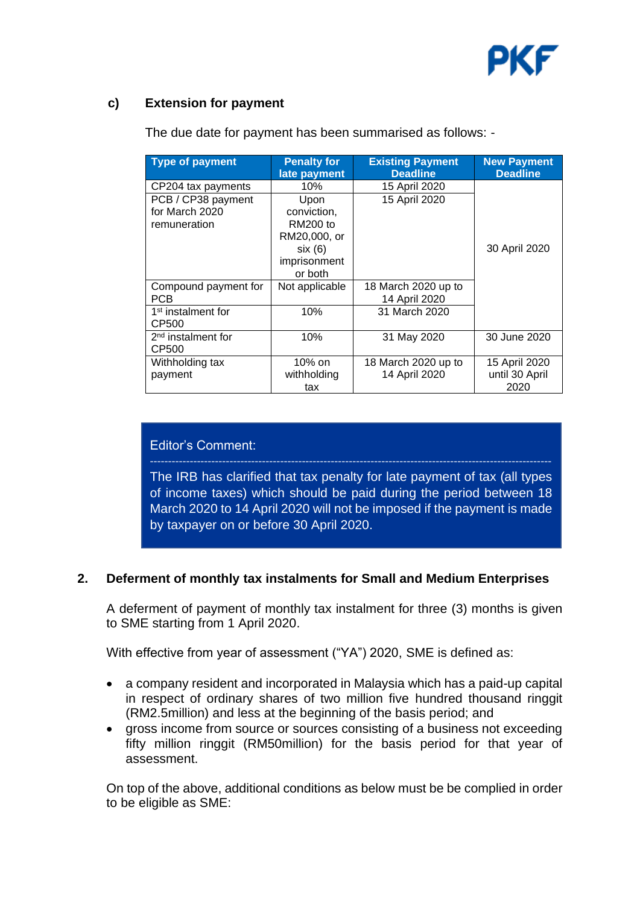

## **c) Extension for payment**

| Type of payment                | <b>Penalty for</b><br>late payment | <b>Existing Payment</b><br><b>Deadline</b> | <b>New Payment</b><br><b>Deadline</b> |
|--------------------------------|------------------------------------|--------------------------------------------|---------------------------------------|
| CP204 tax payments             | 10%                                | 15 April 2020                              |                                       |
| PCB / CP38 payment             | Upon                               | 15 April 2020                              |                                       |
| for March 2020                 | conviction,                        |                                            |                                       |
| remuneration                   | <b>RM200 to</b>                    |                                            |                                       |
|                                | RM20,000, or                       |                                            |                                       |
|                                | six(6)                             |                                            | 30 April 2020                         |
|                                | imprisonment                       |                                            |                                       |
|                                | or both                            |                                            |                                       |
| Compound payment for           | Not applicable                     | 18 March 2020 up to                        |                                       |
| <b>PCB</b>                     |                                    | 14 April 2020                              |                                       |
| 1 <sup>st</sup> instalment for | 10%                                | 31 March 2020                              |                                       |
| CP500                          |                                    |                                            |                                       |
| 2 <sup>nd</sup> instalment for | 10%                                | 31 May 2020                                | 30 June 2020                          |
| CP500                          |                                    |                                            |                                       |
| Withholding tax                | 10% on                             | 18 March 2020 up to                        | 15 April 2020                         |
| payment                        | withholding                        | 14 April 2020                              | until 30 April                        |
|                                | tax                                |                                            | 2020                                  |

The due date for payment has been summarised as follows: -

## Editor's Comment:

The IRB has clarified that tax penalty for late payment of tax (all types of income taxes) which should be paid during the period between 18 March 2020 to 14 April 2020 will not be imposed if the payment is made by taxpayer on or before 30 April 2020.

## **2. Deferment of monthly tax instalments for Small and Medium Enterprises**

A deferment of payment of monthly tax instalment for three (3) months is given to SME starting from 1 April 2020.

With effective from year of assessment ("YA") 2020, SME is defined as:

- a company resident and incorporated in Malaysia which has a paid-up capital in respect of ordinary shares of two million five hundred thousand ringgit (RM2.5million) and less at the beginning of the basis period; and
- gross income from source or sources consisting of a business not exceeding fifty million ringgit (RM50million) for the basis period for that year of assessment.

On top of the above, additional conditions as below must be be complied in order to be eligible as SME: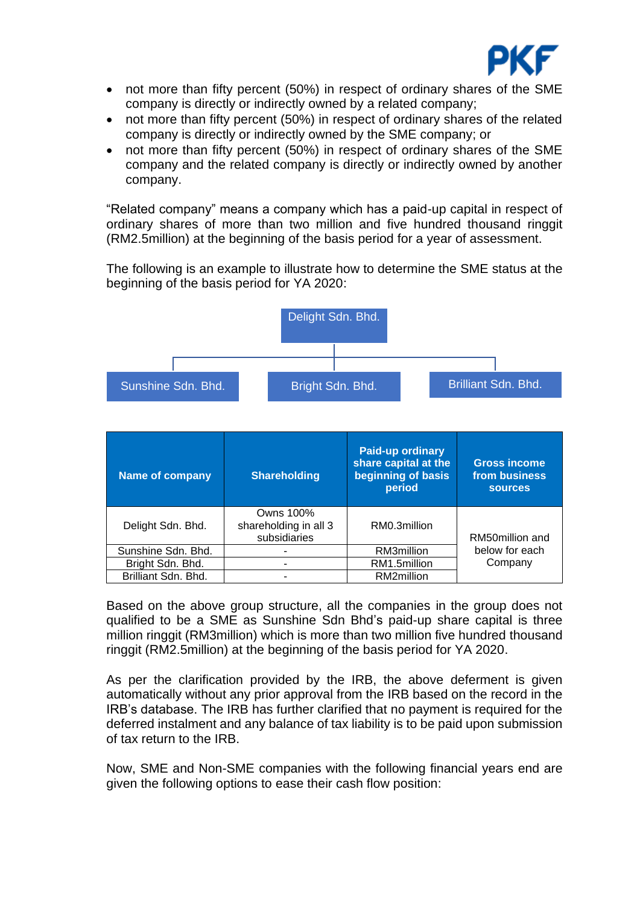

- not more than fifty percent (50%) in respect of ordinary shares of the SME company is directly or indirectly owned by a related company;
- not more than fifty percent (50%) in respect of ordinary shares of the related company is directly or indirectly owned by the SME company; or
- not more than fifty percent (50%) in respect of ordinary shares of the SME company and the related company is directly or indirectly owned by another company.

"Related company" means a company which has a paid-up capital in respect of ordinary shares of more than two million and five hundred thousand ringgit (RM2.5million) at the beginning of the basis period for a year of assessment.

The following is an example to illustrate how to determine the SME status at the beginning of the basis period for YA 2020:



| <b>Name of company</b> | <b>Shareholding</b>                                | <b>Paid-up ordinary</b><br>share capital at the<br>beginning of basis<br>period | <b>Gross income</b><br>from business<br><b>sources</b> |
|------------------------|----------------------------------------------------|---------------------------------------------------------------------------------|--------------------------------------------------------|
| Delight Sdn. Bhd.      | Owns 100%<br>shareholding in all 3<br>subsidiaries | RM0.3million                                                                    | RM50million and                                        |
| Sunshine Sdn. Bhd.     |                                                    | RM3million                                                                      | below for each                                         |
| Bright Sdn. Bhd.       |                                                    | RM1.5million                                                                    | Company                                                |
| Brilliant Sdn. Bhd.    |                                                    | RM2million                                                                      |                                                        |

Based on the above group structure, all the companies in the group does not qualified to be a SME as Sunshine Sdn Bhd's paid-up share capital is three million ringgit (RM3million) which is more than two million five hundred thousand ringgit (RM2.5million) at the beginning of the basis period for YA 2020.

As per the clarification provided by the IRB, the above deferment is given automatically without any prior approval from the IRB based on the record in the IRB's database. The IRB has further clarified that no payment is required for the deferred instalment and any balance of tax liability is to be paid upon submission of tax return to the IRB.

Now, SME and Non-SME companies with the following financial years end are given the following options to ease their cash flow position: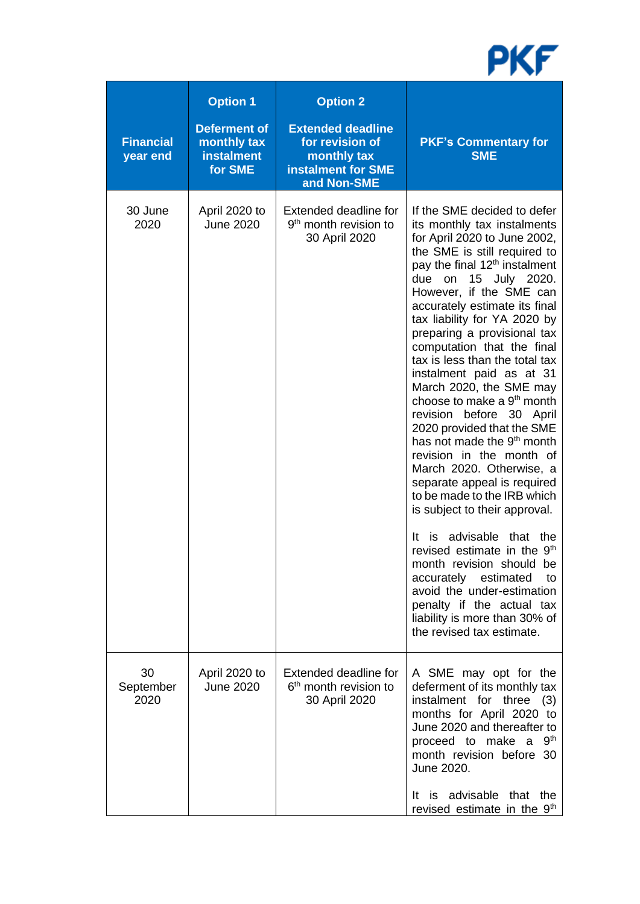

| <b>Financial</b><br>year end | <b>Option 1</b><br><b>Deferment of</b><br>monthly tax<br><b>instalment</b><br>for SME | <b>Option 2</b><br><b>Extended deadline</b><br>for revision of<br>monthly tax<br>instalment for SME<br>and Non-SME | <b>PKF's Commentary for</b><br><b>SME</b>                                                                                                                                                                                                                                                                                                                                                                                                                                                                                                                                                                                                                                                                                                                                                                                                                                                                                                                                                                           |
|------------------------------|---------------------------------------------------------------------------------------|--------------------------------------------------------------------------------------------------------------------|---------------------------------------------------------------------------------------------------------------------------------------------------------------------------------------------------------------------------------------------------------------------------------------------------------------------------------------------------------------------------------------------------------------------------------------------------------------------------------------------------------------------------------------------------------------------------------------------------------------------------------------------------------------------------------------------------------------------------------------------------------------------------------------------------------------------------------------------------------------------------------------------------------------------------------------------------------------------------------------------------------------------|
| 30 June<br>2020              | April 2020 to<br><b>June 2020</b>                                                     | Extended deadline for<br>9 <sup>th</sup> month revision to<br>30 April 2020                                        | If the SME decided to defer<br>its monthly tax instalments<br>for April 2020 to June 2002,<br>the SME is still required to<br>pay the final 12 <sup>th</sup> instalment<br>due on 15 July 2020.<br>However, if the SME can<br>accurately estimate its final<br>tax liability for YA 2020 by<br>preparing a provisional tax<br>computation that the final<br>tax is less than the total tax<br>instalment paid as at 31<br>March 2020, the SME may<br>choose to make a 9 <sup>th</sup> month<br>revision before 30 April<br>2020 provided that the SME<br>has not made the 9 <sup>th</sup> month<br>revision in the month of<br>March 2020. Otherwise, a<br>separate appeal is required<br>to be made to the IRB which<br>is subject to their approval.<br>is advisable that the<br>It<br>revised estimate in the 9 <sup>th</sup><br>month revision should be<br>accurately estimated<br>to<br>avoid the under-estimation<br>penalty if the actual tax<br>liability is more than 30% of<br>the revised tax estimate. |
| 30<br>September<br>2020      | April 2020 to<br><b>June 2020</b>                                                     | Extended deadline for<br>6 <sup>th</sup> month revision to<br>30 April 2020                                        | A SME may opt for the<br>deferment of its monthly tax<br>instalment for three (3)<br>months for April 2020 to<br>June 2020 and thereafter to<br>9 <sup>th</sup><br>proceed to make a<br>month revision before 30<br>June 2020.<br>It is advisable that the<br>revised estimate in the 9 <sup>th</sup>                                                                                                                                                                                                                                                                                                                                                                                                                                                                                                                                                                                                                                                                                                               |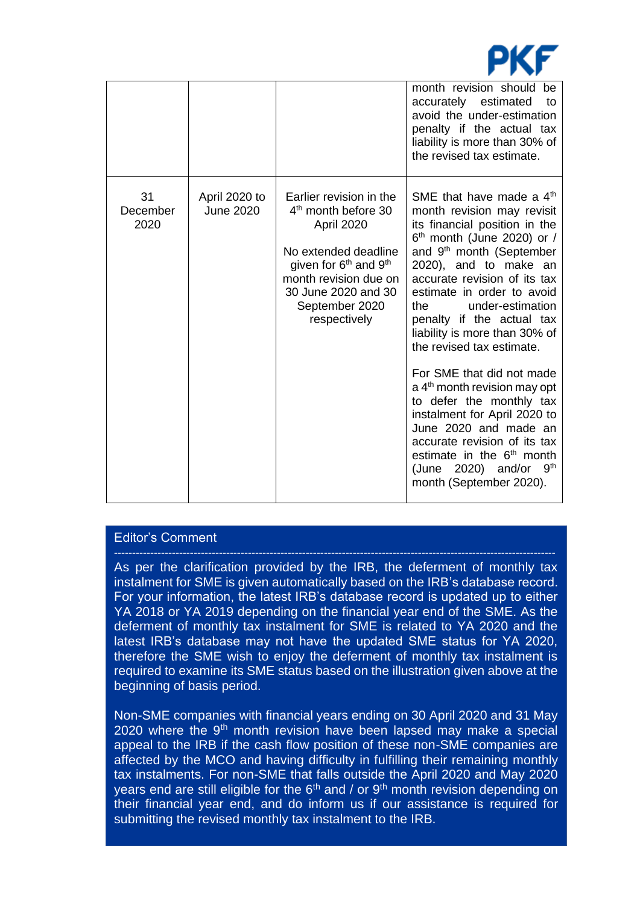

|                        |                                   |                                                                                                                                                                                                                 | month revision should be<br>accurately estimated<br>to<br>avoid the under-estimation<br>penalty if the actual tax<br>liability is more than 30% of<br>the revised tax estimate.                                                                                                                                                                                                                                                                                                                                                                                                                                                                                                             |
|------------------------|-----------------------------------|-----------------------------------------------------------------------------------------------------------------------------------------------------------------------------------------------------------------|---------------------------------------------------------------------------------------------------------------------------------------------------------------------------------------------------------------------------------------------------------------------------------------------------------------------------------------------------------------------------------------------------------------------------------------------------------------------------------------------------------------------------------------------------------------------------------------------------------------------------------------------------------------------------------------------|
| 31<br>December<br>2020 | April 2020 to<br><b>June 2020</b> | Earlier revision in the<br>4 <sup>th</sup> month before 30<br>April 2020<br>No extended deadline<br>given for $6th$ and $9th$<br>month revision due on<br>30 June 2020 and 30<br>September 2020<br>respectively | SME that have made a $4th$<br>month revision may revisit<br>its financial position in the<br>$6th$ month (June 2020) or /<br>and 9 <sup>th</sup> month (September<br>2020), and to make an<br>accurate revision of its tax<br>estimate in order to avoid<br>under-estimation<br>the<br>penalty if the actual tax<br>liability is more than 30% of<br>the revised tax estimate.<br>For SME that did not made<br>$a$ 4 <sup>th</sup> month revision may opt<br>to defer the monthly tax<br>instalment for April 2020 to<br>June 2020 and made an<br>accurate revision of its tax<br>estimate in the 6 <sup>th</sup> month<br>9 <sup>th</sup><br>(June 2020) and/or<br>month (September 2020). |

## Editor's Comment

As per the clarification provided by the IRB, the deferment of monthly tax instalment for SME is given automatically based on the IRB's database record. For your information, the latest IRB's database record is updated up to either YA 2018 or YA 2019 depending on the financial year end of the SME. As the deferment of monthly tax instalment for SME is related to YA 2020 and the latest IRB's database may not have the updated SME status for YA 2020, therefore the SME wish to enjoy the deferment of monthly tax instalment is required to examine its SME status based on the illustration given above at the beginning of basis period.

Non-SME companies with financial years ending on 30 April 2020 and 31 May  $2020$  where the 9<sup>th</sup> month revision have been lapsed may make a special appeal to the IRB if the cash flow position of these non-SME companies are affected by the MCO and having difficulty in fulfilling their remaining monthly tax instalments. For non-SME that falls outside the April 2020 and May 2020 years end are still eligible for the  $6<sup>th</sup>$  and / or  $9<sup>th</sup>$  month revision depending on their financial year end, and do inform us if our assistance is required for submitting the revised monthly tax instalment to the IRB.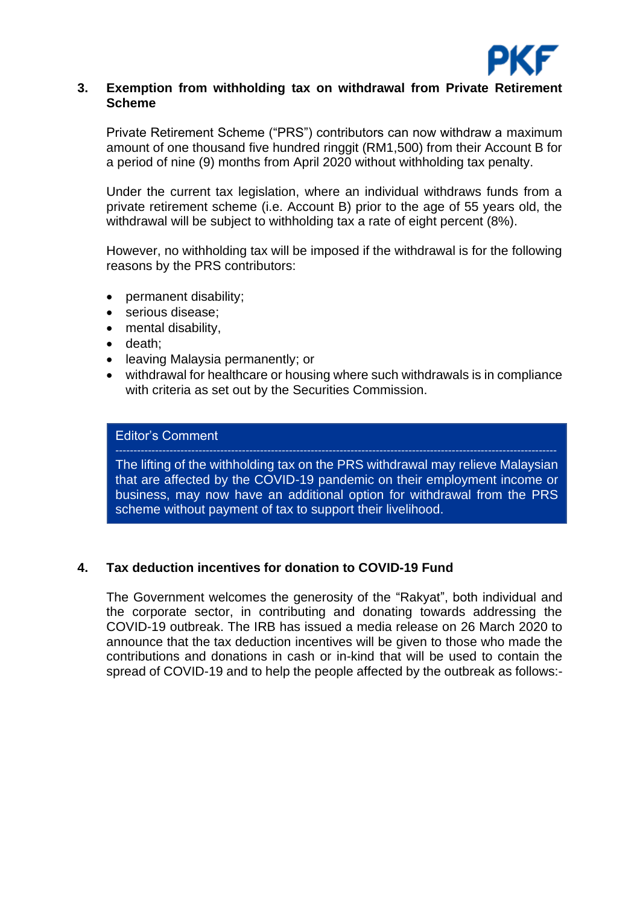

### **3. Exemption from withholding tax on withdrawal from Private Retirement Scheme**

Private Retirement Scheme ("PRS") contributors can now withdraw a maximum amount of one thousand five hundred ringgit (RM1,500) from their Account B for a period of nine (9) months from April 2020 without withholding tax penalty.

Under the current tax legislation, where an individual withdraws funds from a private retirement scheme (i.e. Account B) prior to the age of 55 years old, the withdrawal will be subject to withholding tax a rate of eight percent (8%).

However, no withholding tax will be imposed if the withdrawal is for the following reasons by the PRS contributors:

- permanent disability;
- serious disease:
- mental disability,
- death;
- leaving Malaysia permanently; or
- withdrawal for healthcare or housing where such withdrawals is in compliance with criteria as set out by the Securities Commission.

#### Editor's Comment

The lifting of the withholding tax on the PRS withdrawal may relieve Malaysian that are affected by the COVID-19 pandemic on their employment income or business, may now have an additional option for withdrawal from the PRS scheme without payment of tax to support their livelihood.

## **4. Tax deduction incentives for donation to COVID-19 Fund**

The Government welcomes the generosity of the "Rakyat", both individual and the corporate sector, in contributing and donating towards addressing the COVID-19 outbreak. The IRB has issued a media release on 26 March 2020 to announce that the tax deduction incentives will be given to those who made the contributions and donations in cash or in-kind that will be used to contain the spread of COVID-19 and to help the people affected by the outbreak as follows:-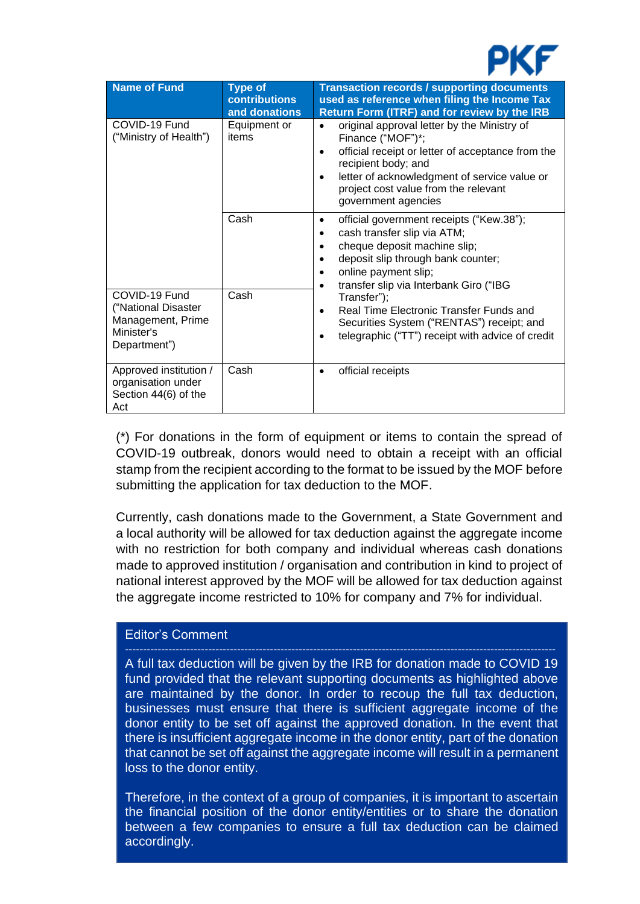

| Name of Fund                                                                            | <b>Type of</b><br><b>contributions</b><br>and donations | <b>Transaction records / supporting documents</b><br>used as reference when filing the Income Tax<br>Return Form (ITRF) and for review by the IRB                                                                                                                        |
|-----------------------------------------------------------------------------------------|---------------------------------------------------------|--------------------------------------------------------------------------------------------------------------------------------------------------------------------------------------------------------------------------------------------------------------------------|
| COVID-19 Fund<br>("Ministry of Health")                                                 | Equipment or<br>items                                   | original approval letter by the Ministry of<br>$\bullet$<br>Finance ("MOF")*;<br>official receipt or letter of acceptance from the<br>recipient body; and<br>letter of acknowledgment of service value or<br>project cost value from the relevant<br>government agencies |
|                                                                                         | Cash                                                    | official government receipts ("Kew.38");<br>$\bullet$<br>cash transfer slip via ATM;<br>cheque deposit machine slip;<br>deposit slip through bank counter;<br>online payment slip;<br>transfer slip via Interbank Giro ("IBG                                             |
| COVID-19 Fund<br>("National Disaster<br>Management, Prime<br>Minister's<br>Department") | Cash                                                    | Transfer");<br>Real Time Electronic Transfer Funds and<br>$\bullet$<br>Securities System ("RENTAS") receipt; and<br>telegraphic ("TT") receipt with advice of credit                                                                                                     |
| Approved institution /<br>organisation under<br>Section 44(6) of the<br>Act             | Cash                                                    | official receipts                                                                                                                                                                                                                                                        |

(\*) For donations in the form of equipment or items to contain the spread of COVID-19 outbreak, donors would need to obtain a receipt with an official stamp from the recipient according to the format to be issued by the MOF before submitting the application for tax deduction to the MOF.

Currently, cash donations made to the Government, a State Government and a local authority will be allowed for tax deduction against the aggregate income with no restriction for both company and individual whereas cash donations made to approved institution / organisation and contribution in kind to project of national interest approved by the MOF will be allowed for tax deduction against the aggregate income restricted to 10% for company and 7% for individual.

#### Editor's Comment

A full tax deduction will be given by the IRB for donation made to COVID 19 fund provided that the relevant supporting documents as highlighted above are maintained by the donor. In order to recoup the full tax deduction, businesses must ensure that there is sufficient aggregate income of the donor entity to be set off against the approved donation. In the event that there is insufficient aggregate income in the donor entity, part of the donation that cannot be set off against the aggregate income will result in a permanent loss to the donor entity.

Therefore, in the context of a group of companies, it is important to ascertain the financial position of the donor entity/entities or to share the donation between a few companies to ensure a full tax deduction can be claimed accordingly.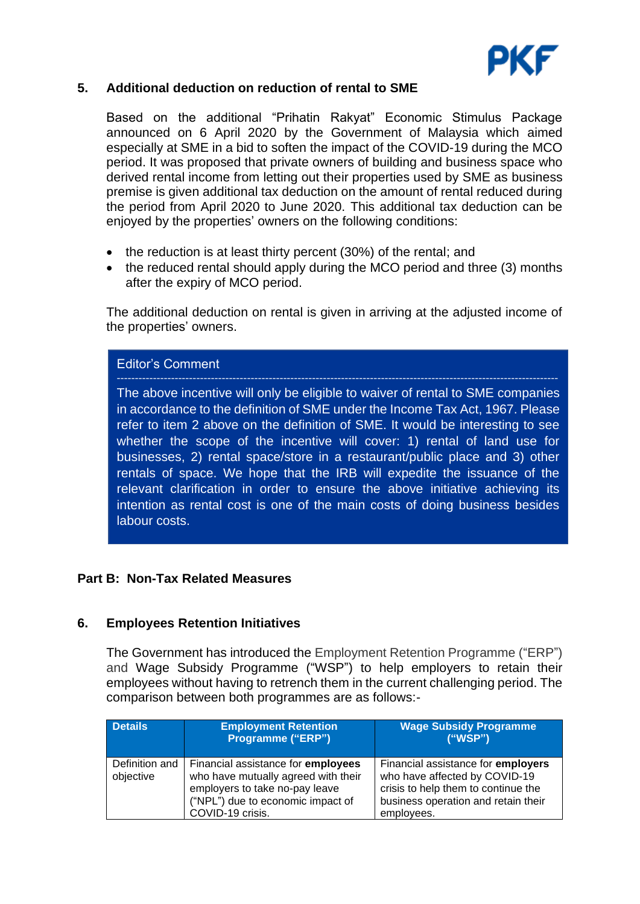

## **5. Additional deduction on reduction of rental to SME**

Based on the additional "Prihatin Rakyat" Economic Stimulus Package announced on 6 April 2020 by the Government of Malaysia which aimed especially at SME in a bid to soften the impact of the COVID-19 during the MCO period. It was proposed that private owners of building and business space who derived rental income from letting out their properties used by SME as business premise is given additional tax deduction on the amount of rental reduced during the period from April 2020 to June 2020. This additional tax deduction can be enjoyed by the properties' owners on the following conditions:

- the reduction is at least thirty percent (30%) of the rental; and
- the reduced rental should apply during the MCO period and three (3) months after the expiry of MCO period.

The additional deduction on rental is given in arriving at the adjusted income of the properties' owners.

Editor's Comment

The above incentive will only be eligible to waiver of rental to SME companies in accordance to the definition of SME under the Income Tax Act, 1967. Please refer to item 2 above on the definition of SME. It would be interesting to see whether the scope of the incentive will cover: 1) rental of land use for businesses, 2) rental space/store in a restaurant/public place and 3) other rentals of space. We hope that the IRB will expedite the issuance of the relevant clarification in order to ensure the above initiative achieving its intention as rental cost is one of the main costs of doing business besides labour costs.

#### **Part B: Non-Tax Related Measures**

#### **6. Employees Retention Initiatives**

The Government has introduced the Employment Retention Programme ("ERP") and Wage Subsidy Programme ("WSP") to help employers to retain their employees without having to retrench them in the current challenging period. The comparison between both programmes are as follows:-

| <b>Details</b>              | <b>Employment Retention</b><br>Programme ("ERP")                                                                                                                     | <b>Wage Subsidy Programme</b><br>("WSP")                                                                                                                               |
|-----------------------------|----------------------------------------------------------------------------------------------------------------------------------------------------------------------|------------------------------------------------------------------------------------------------------------------------------------------------------------------------|
| Definition and<br>objective | Financial assistance for employees<br>who have mutually agreed with their<br>employers to take no-pay leave<br>("NPL") due to economic impact of<br>COVID-19 crisis. | Financial assistance for <b>employers</b><br>who have affected by COVID-19<br>crisis to help them to continue the<br>business operation and retain their<br>employees. |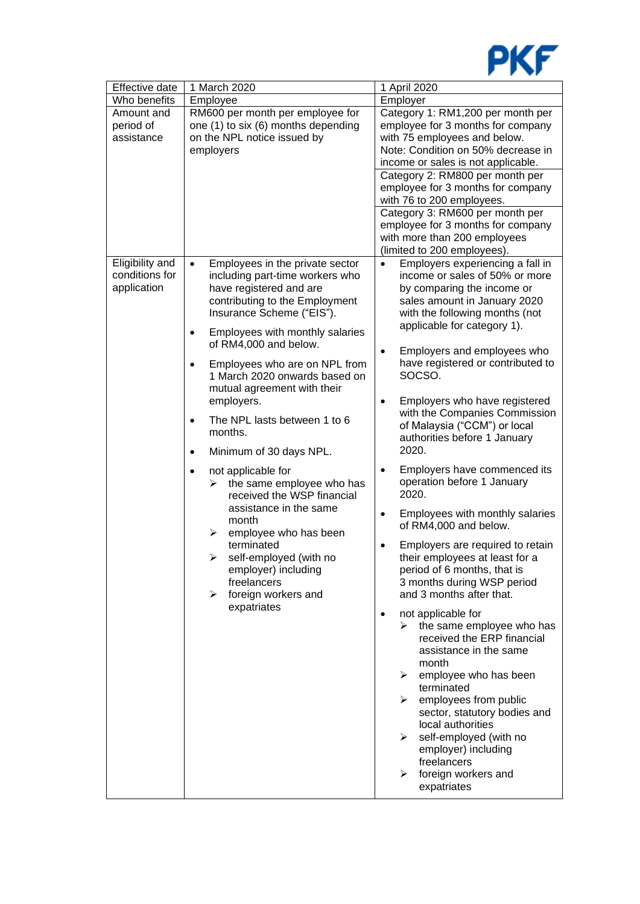

| Effective date                                   | 1 March 2020                                                                                                                                                                                                                                                                                                                                                                                                                                                                                                                                                                                                                                                                                                                                                       | 1 April 2020                                                                                                                                                                                                                                                                                                                                                                                                                                                                                                                                                                                                                                                                                                                                                                                                                                                                                                                                                                                                                                                                                                                                                                       |
|--------------------------------------------------|--------------------------------------------------------------------------------------------------------------------------------------------------------------------------------------------------------------------------------------------------------------------------------------------------------------------------------------------------------------------------------------------------------------------------------------------------------------------------------------------------------------------------------------------------------------------------------------------------------------------------------------------------------------------------------------------------------------------------------------------------------------------|------------------------------------------------------------------------------------------------------------------------------------------------------------------------------------------------------------------------------------------------------------------------------------------------------------------------------------------------------------------------------------------------------------------------------------------------------------------------------------------------------------------------------------------------------------------------------------------------------------------------------------------------------------------------------------------------------------------------------------------------------------------------------------------------------------------------------------------------------------------------------------------------------------------------------------------------------------------------------------------------------------------------------------------------------------------------------------------------------------------------------------------------------------------------------------|
| Who benefits                                     | Employee                                                                                                                                                                                                                                                                                                                                                                                                                                                                                                                                                                                                                                                                                                                                                           | Employer                                                                                                                                                                                                                                                                                                                                                                                                                                                                                                                                                                                                                                                                                                                                                                                                                                                                                                                                                                                                                                                                                                                                                                           |
| Amount and<br>period of<br>assistance            | RM600 per month per employee for<br>one (1) to six (6) months depending<br>on the NPL notice issued by<br>employers                                                                                                                                                                                                                                                                                                                                                                                                                                                                                                                                                                                                                                                | Category 1: RM1,200 per month per<br>employee for 3 months for company<br>with 75 employees and below.<br>Note: Condition on 50% decrease in<br>income or sales is not applicable.<br>Category 2: RM800 per month per                                                                                                                                                                                                                                                                                                                                                                                                                                                                                                                                                                                                                                                                                                                                                                                                                                                                                                                                                              |
|                                                  |                                                                                                                                                                                                                                                                                                                                                                                                                                                                                                                                                                                                                                                                                                                                                                    | employee for 3 months for company<br>with 76 to 200 employees.<br>Category 3: RM600 per month per                                                                                                                                                                                                                                                                                                                                                                                                                                                                                                                                                                                                                                                                                                                                                                                                                                                                                                                                                                                                                                                                                  |
|                                                  |                                                                                                                                                                                                                                                                                                                                                                                                                                                                                                                                                                                                                                                                                                                                                                    | employee for 3 months for company<br>with more than 200 employees<br>(limited to 200 employees).                                                                                                                                                                                                                                                                                                                                                                                                                                                                                                                                                                                                                                                                                                                                                                                                                                                                                                                                                                                                                                                                                   |
| Eligibility and<br>conditions for<br>application | Employees in the private sector<br>$\bullet$<br>including part-time workers who<br>have registered and are<br>contributing to the Employment<br>Insurance Scheme ("EIS").<br>Employees with monthly salaries<br>of RM4,000 and below.<br>Employees who are on NPL from<br>1 March 2020 onwards based on<br>mutual agreement with their<br>employers.<br>The NPL lasts between 1 to 6<br>$\bullet$<br>months.<br>Minimum of 30 days NPL.<br>$\bullet$<br>not applicable for<br>$\bullet$<br>$\triangleright$ the same employee who has<br>received the WSP financial<br>assistance in the same<br>month<br>employee who has been<br>➤<br>terminated<br>self-employed (with no<br>➤<br>employer) including<br>freelancers<br>foreign workers and<br>➤<br>expatriates | Employers experiencing a fall in<br>$\bullet$<br>income or sales of 50% or more<br>by comparing the income or<br>sales amount in January 2020<br>with the following months (not<br>applicable for category 1).<br>Employers and employees who<br>$\bullet$<br>have registered or contributed to<br>SOCSO.<br>Employers who have registered<br>$\bullet$<br>with the Companies Commission<br>of Malaysia ("CCM") or local<br>authorities before 1 January<br>2020.<br>Employers have commenced its<br>$\bullet$<br>operation before 1 January<br>2020.<br>Employees with monthly salaries<br>$\bullet$<br>of RM4,000 and below.<br>Employers are required to retain<br>their employees at least for a<br>period of 6 months, that is<br>3 months during WSP period<br>and 3 months after that.<br>not applicable for<br>$\bullet$<br>the same employee who has<br>➤<br>received the ERP financial<br>assistance in the same<br>month<br>≻<br>employee who has been<br>terminated<br>employees from public<br>➤<br>sector, statutory bodies and<br>local authorities<br>self-employed (with no<br>⋗<br>employer) including<br>freelancers<br>foreign workers and<br>➤<br>expatriates |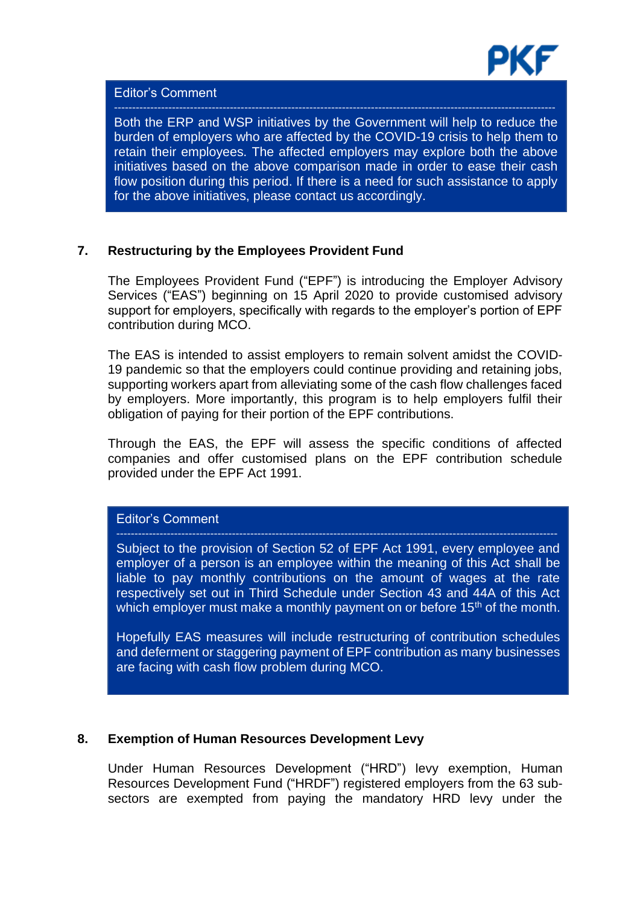

## Editor's Comment

Both the ERP and WSP initiatives by the Government will help to reduce the burden of employers who are affected by the COVID-19 crisis to help them to retain their employees. The affected employers may explore both the above initiatives based on the above comparison made in order to ease their cash flow position during this period. If there is a need for such assistance to apply for the above initiatives, please contact us accordingly.

## **7. Restructuring by the Employees Provident Fund**

The Employees Provident Fund ("EPF") is introducing the Employer Advisory Services ("EAS") beginning on 15 April 2020 to provide customised advisory support for employers, specifically with regards to the employer's portion of EPF contribution during MCO.

The EAS is intended to assist employers to remain solvent amidst the COVID-19 pandemic so that the employers could continue providing and retaining jobs, supporting workers apart from alleviating some of the cash flow challenges faced by employers. More importantly, this program is to help employers fulfil their obligation of paying for their portion of the EPF contributions.

Through the EAS, the EPF will assess the specific conditions of affected companies and offer customised plans on the EPF contribution schedule provided under the EPF Act 1991.

## Editor's Comment

Subject to the provision of Section 52 of EPF Act 1991, every employee and employer of a person is an employee within the meaning of this Act shall be liable to pay monthly contributions on the amount of wages at the rate respectively set out in Third Schedule under Section 43 and 44A of this Act which employer must make a monthly payment on or before  $15<sup>th</sup>$  of the month.

Hopefully EAS measures will include restructuring of contribution schedules and deferment or staggering payment of EPF contribution as many businesses are facing with cash flow problem during MCO.

#### **8. Exemption of Human Resources Development Levy**

Under Human Resources Development ("HRD") levy exemption, Human Resources Development Fund ("HRDF") registered employers from the 63 subsectors are exempted from paying the mandatory HRD levy under the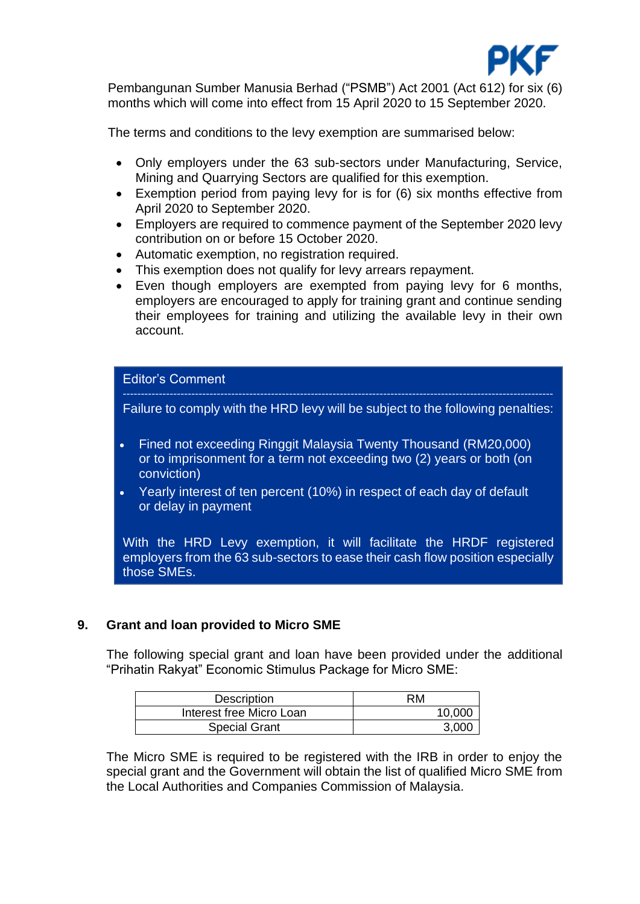

Pembangunan Sumber Manusia Berhad ("PSMB") Act 2001 (Act 612) for six (6) months which will come into effect from 15 April 2020 to 15 September 2020.

The terms and conditions to the levy exemption are summarised below:

- Only employers under the 63 sub-sectors under Manufacturing, Service, Mining and Quarrying Sectors are qualified for this exemption.
- Exemption period from paying levy for is for (6) six months effective from April 2020 to September 2020.
- Employers are required to commence payment of the September 2020 levy contribution on or before 15 October 2020.
- Automatic exemption, no registration required.
- This exemption does not qualify for levy arrears repayment.
- Even though employers are exempted from paying levy for 6 months, employers are encouraged to apply for training grant and continue sending their employees for training and utilizing the available levy in their own account.

#### Editor's Comment

Failure to comply with the HRD levy will be subject to the following penalties:

- Fined not exceeding Ringgit Malaysia Twenty Thousand (RM20,000) or to imprisonment for a term not exceeding two (2) years or both (on conviction)
- Yearly interest of ten percent (10%) in respect of each day of default or delay in payment

With the HRD Levy exemption, it will facilitate the HRDF registered employers from the 63 sub-sectors to ease their cash flow position especially those SMEs.

## **9. Grant and loan provided to Micro SME**

The following special grant and loan have been provided under the additional "Prihatin Rakyat" Economic Stimulus Package for Micro SME:

| Description              | RM     |
|--------------------------|--------|
| Interest free Micro Loan | 10,000 |
| <b>Special Grant</b>     | 3,000  |

The Micro SME is required to be registered with the IRB in order to enjoy the special grant and the Government will obtain the list of qualified Micro SME from the Local Authorities and Companies Commission of Malaysia.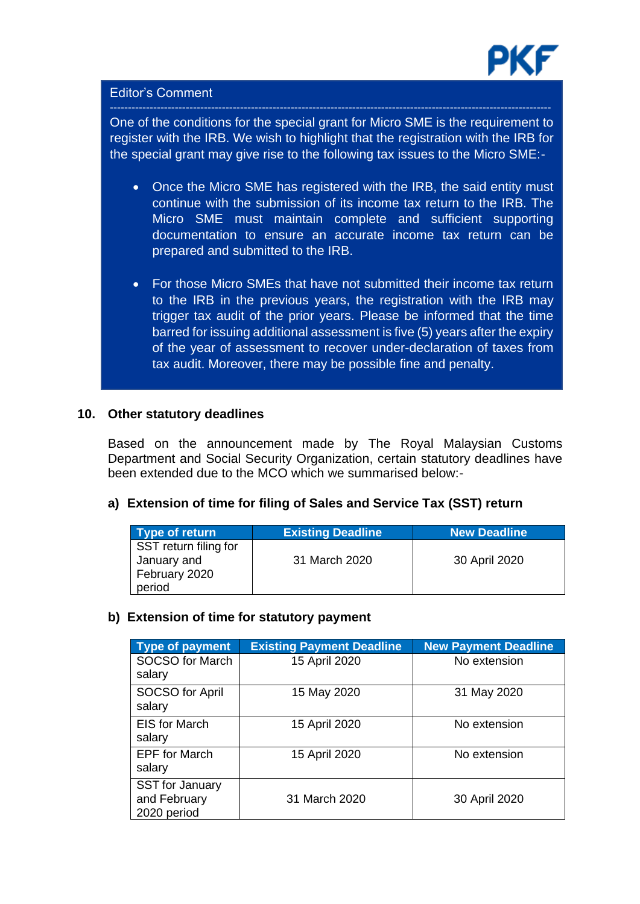

## Editor's Comment

One of the conditions for the special grant for Micro SME is the requirement to register with the IRB. We wish to highlight that the registration with the IRB for the special grant may give rise to the following tax issues to the Micro SME:-

- Once the Micro SME has registered with the IRB, the said entity must continue with the submission of its income tax return to the IRB. The Micro SME must maintain complete and sufficient supporting documentation to ensure an accurate income tax return can be prepared and submitted to the IRB.
- For those Micro SMEs that have not submitted their income tax return to the IRB in the previous years, the registration with the IRB may trigger tax audit of the prior years. Please be informed that the time barred for issuing additional assessment is five (5) years after the expiry of the year of assessment to recover under-declaration of taxes from tax audit. Moreover, there may be possible fine and penalty.

### **10. Other statutory deadlines**

Based on the announcement made by The Royal Malaysian Customs Department and Social Security Organization, certain statutory deadlines have been extended due to the MCO which we summarised below:-

## **a) Extension of time for filing of Sales and Service Tax (SST) return**

| Type of return        | <b>Existing Deadline</b> | <b>New Deadline</b> |
|-----------------------|--------------------------|---------------------|
| SST return filing for |                          |                     |
| January and           | 31 March 2020            | 30 April 2020       |
| February 2020         |                          |                     |
| period                |                          |                     |

## **b) Extension of time for statutory payment**

| Type of payment                                       | <b>Existing Payment Deadline</b> | <b>New Payment Deadline</b> |
|-------------------------------------------------------|----------------------------------|-----------------------------|
| <b>SOCSO for March</b><br>salary                      | 15 April 2020                    | No extension                |
| SOCSO for April<br>salary                             | 15 May 2020                      | 31 May 2020                 |
| <b>EIS for March</b><br>salary                        | 15 April 2020                    | No extension                |
| <b>EPF</b> for March<br>salary                        | 15 April 2020                    | No extension                |
| <b>SST</b> for January<br>and February<br>2020 period | 31 March 2020                    | 30 April 2020               |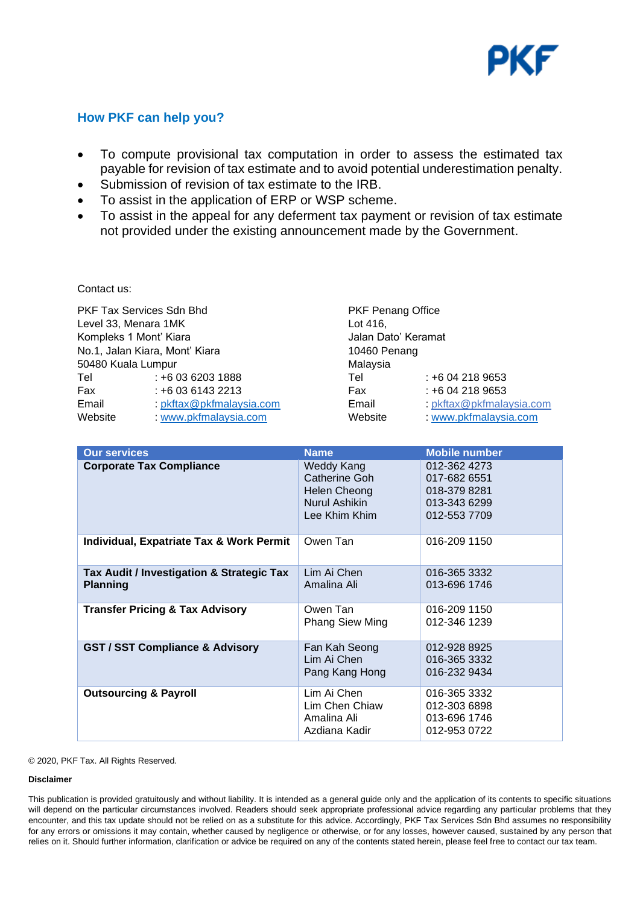

## **How PKF can help you?**

- To compute provisional tax computation in order to assess the estimated tax payable for revision of tax estimate and to avoid potential underestimation penalty.
- Submission of revision of tax estimate to the IRB.
- To assist in the application of ERP or WSP scheme.
- To assist in the appeal for any deferment tax payment or revision of tax estimate not provided under the existing announcement made by the Government.

Contact us:

PKF Tax Services Sdn Bhd PKF Penang Office Level 33, Menara 1MK Lot 416, Kompleks 1 Mont' Kiara **Jalan Dato' Keramat** No.1, Jalan Kiara, Mont' Kiara 10460 Penang 50480 Kuala Lumpur Malaysia Tel : +6 03 6203 1888 Tel : +6 04 218 9653 Fax : +6 03 6143 2213 Fax : +6 04 218 9653 Email : [pkftax@pkfmalaysia.com](mailto:pkftax@pkfmalaysia.com) Email : pkftax@pkfmalaysia.com Website : [www.pkfmalaysia.com](http://www.pkfmalaysia.com/) Website : [www.pkfmalaysia.com](http://www.pkfmalaysia.com/)

| <b>Our services</b>                                          | <b>Name</b>                                                                   | <b>Mobile number</b>                                                         |
|--------------------------------------------------------------|-------------------------------------------------------------------------------|------------------------------------------------------------------------------|
| <b>Corporate Tax Compliance</b>                              | Weddy Kang<br>Catherine Goh<br>Helen Cheong<br>Nurul Ashikin<br>Lee Khim Khim | 012-362 4273<br>017-682 6551<br>018-379 8281<br>013-343 6299<br>012-553 7709 |
| Individual, Expatriate Tax & Work Permit                     | Owen Tan                                                                      | 016-209 1150                                                                 |
| Tax Audit / Investigation & Strategic Tax<br><b>Planning</b> | Lim Ai Chen<br>Amalina Ali                                                    | 016-365 3332<br>013-696 1746                                                 |
| <b>Transfer Pricing &amp; Tax Advisory</b>                   | Owen Tan<br>Phang Siew Ming                                                   | 016-209 1150<br>012-346 1239                                                 |
| <b>GST / SST Compliance &amp; Advisory</b>                   | Fan Kah Seong<br>Lim Ai Chen<br>Pang Kang Hong                                | 012-928 8925<br>016-365 3332<br>016-232 9434                                 |
| <b>Outsourcing &amp; Payroll</b>                             | Lim Ai Chen<br>Lim Chen Chiaw<br>Amalina Ali<br>Azdiana Kadir                 | 016-365 3332<br>012-303 6898<br>013-696 1746<br>012-953 0722                 |

#### © 2020, PKF Tax. All Rights Reserved.

#### **Disclaimer**

This publication is provided gratuitously and without liability. It is intended as a general guide only and the application of its contents to specific situations in the setting of the setting of the setting of the setting encounter, and this tax update should not be relied on as a substitute for this advice. Accordingly, PKF Tax Services Sdn Bhd assumes no responsibility will depend on the particular circumstances involved. Readers should seek appropriate professional advice regarding any particular problems that they for any errors or omissions it may contain, whether caused by negligence or otherwise, or for any losses, however caused, sustained by any person that relies on it. Should further information, clarification or advice be required on any of the contents stated herein, please feel free to contact our tax team.